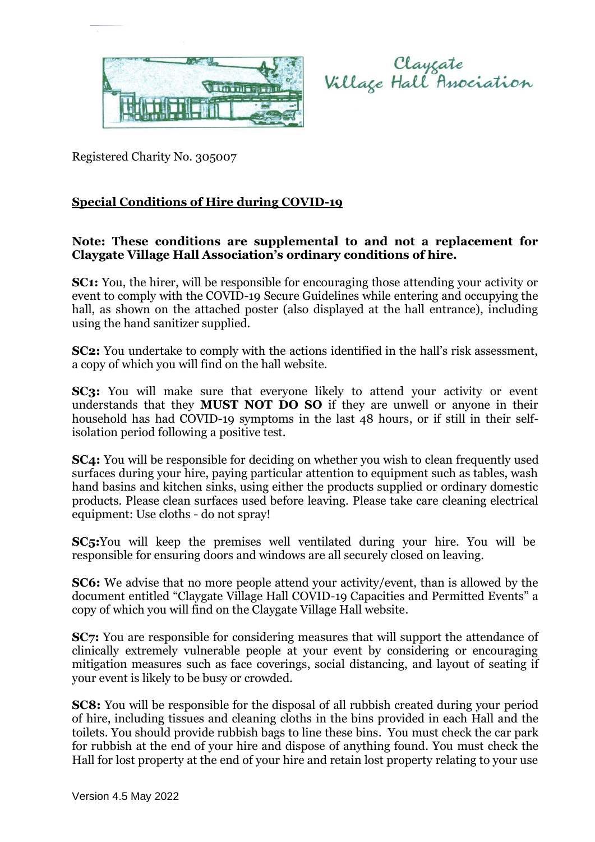

Clayzate<br>Village Hall Association

Registered Charity No. 305007

## **Special Conditions of Hire during COVID-19**

## **Note: These conditions are supplemental to and not a replacement for Claygate Village Hall Association's ordinary conditions of hire.**

**SC1:** You, the hirer, will be responsible for encouraging those attending your activity or event to comply with the COVID-19 Secure Guidelines while entering and occupying the hall, as shown on the attached poster (also displayed at the hall entrance), including using the hand sanitizer supplied.

**SC2:** You undertake to comply with the actions identified in the hall's risk assessment, a copy of which you will find on the hall website.

**SC3:** You will make sure that everyone likely to attend your activity or event understands that they **MUST NOT DO SO** if they are unwell or anyone in their household has had COVID-19 symptoms in the last 48 hours, or if still in their selfisolation period following a positive test.

**SC4:** You will be responsible for deciding on whether you wish to clean frequently used surfaces during your hire, paying particular attention to equipment such as tables, wash hand basins and kitchen sinks, using either the products supplied or ordinary domestic products. Please clean surfaces used before leaving. Please take care cleaning electrical equipment: Use cloths - do not spray!

**SC5:**You will keep the premises well ventilated during your hire. You will be responsible for ensuring doors and windows are all securely closed on leaving.

**SC6:** We advise that no more people attend your activity/event, than is allowed by the document entitled "Claygate Village Hall COVID-19 Capacities and Permitted Events" a copy of which you will find on the Claygate Village Hall website.

**SC7:** You are responsible for considering measures that will support the attendance of clinically extremely vulnerable people at your event by considering or encouraging mitigation measures such as face coverings, social distancing, and layout of seating if your event is likely to be busy or crowded.

**SC8:** You will be responsible for the disposal of all rubbish created during your period of hire, including tissues and cleaning cloths in the bins provided in each Hall and the toilets. You should provide rubbish bags to line these bins. You must check the car park for rubbish at the end of your hire and dispose of anything found. You must check the Hall for lost property at the end of your hire and retain lost property relating to your use